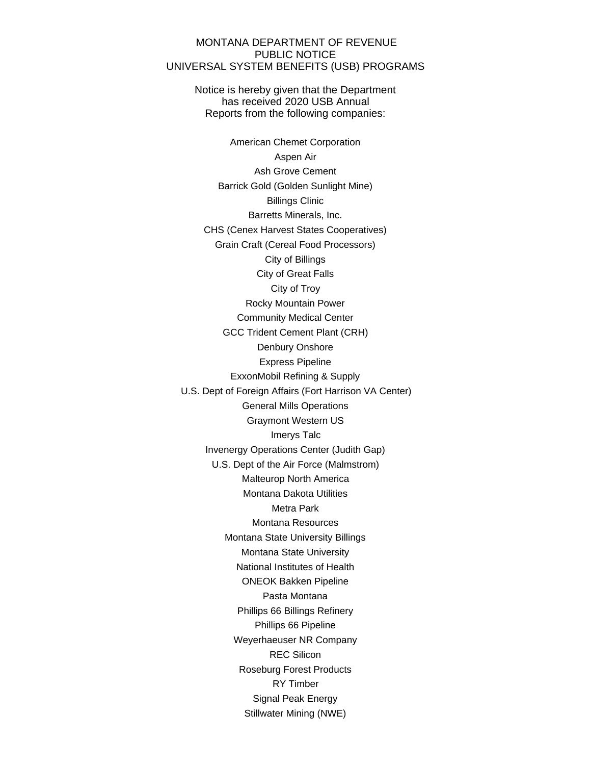## MONTANA DEPARTMENT OF REVENUE PUBLIC NOTICE UNIVERSAL SYSTEM BENEFITS (USB) PROGRAMS

Notice is hereby given that the Department has received 2020 USB Annual Reports from the following companies:

American Chemet Corporation Aspen Air Ash Grove Cement Barrick Gold (Golden Sunlight Mine) Billings Clinic Barretts Minerals, Inc. CHS (Cenex Harvest States Cooperatives) Grain Craft (Cereal Food Processors) City of Billings City of Great Falls City of Troy Rocky Mountain Power Community Medical Center GCC Trident Cement Plant (CRH) Denbury Onshore Express Pipeline ExxonMobil Refining & Supply U.S. Dept of Foreign Affairs (Fort Harrison VA Center) General Mills Operations Graymont Western US Imerys Talc Invenergy Operations Center (Judith Gap) U.S. Dept of the Air Force (Malmstrom) Malteurop North America Montana Dakota Utilities Metra Park Montana Resources Montana State University Billings Montana State University National Institutes of Health ONEOK Bakken Pipeline Pasta Montana Phillips 66 Billings Refinery Phillips 66 Pipeline Weyerhaeuser NR Company REC Silicon Roseburg Forest Products RY Timber Signal Peak Energy Stillwater Mining (NWE)